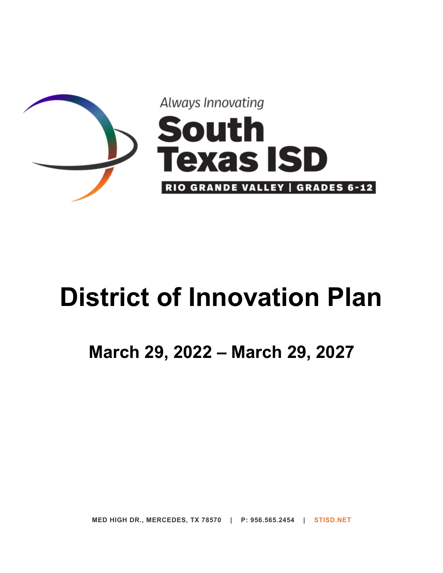

# **District of Innovation Plan**

# **March 29, 2022 – March 29, 2027**

**MED HIGH DR., MERCEDES, TX 78570 | P: 956.565.2454 | STISD.NET**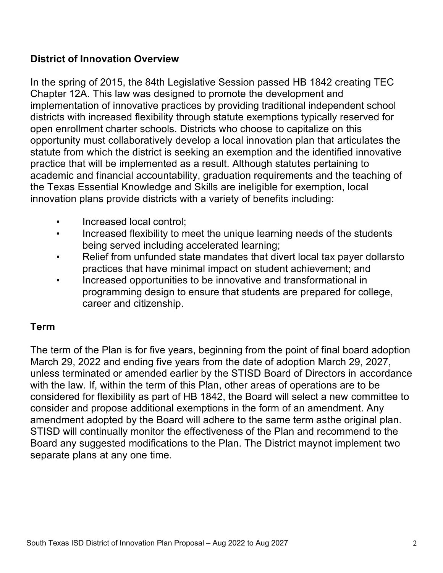#### **District of Innovation Overview**

In the spring of 2015, the 84th Legislative Session passed HB 1842 creating TEC Chapter 12A. This law was designed to promote the development and implementation of innovative practices by providing traditional independent school districts with increased flexibility through statute exemptions typically reserved for open enrollment charter schools. Districts who choose to capitalize on this opportunity must collaboratively develop a local innovation plan that articulates the statute from which the district is seeking an exemption and the identified innovative practice that will be implemented as a result. Although statutes pertaining to academic and financial accountability, graduation requirements and the teaching of the Texas Essential Knowledge and Skills are ineligible for exemption, local innovation plans provide districts with a variety of benefits including:

- Increased local control;
- Increased flexibility to meet the unique learning needs of the students being served including accelerated learning;
- Relief from unfunded state mandates that divert local tax payer dollarsto practices that have minimal impact on student achievement; and
- Increased opportunities to be innovative and transformational in programming design to ensure that students are prepared for college, career and citizenship.

#### **Term**

The term of the Plan is for five years, beginning from the point of final board adoption March 29, 2022 and ending five years from the date of adoption March 29, 2027, unless terminated or amended earlier by the STISD Board of Directors in accordance with the law. If, within the term of this Plan, other areas of operations are to be considered for flexibility as part of HB 1842, the Board will select a new committee to consider and propose additional exemptions in the form of an amendment. Any amendment adopted by the Board will adhere to the same term asthe original plan. STISD will continually monitor the effectiveness of the Plan and recommend to the Board any suggested modifications to the Plan. The District maynot implement two separate plans at any one time.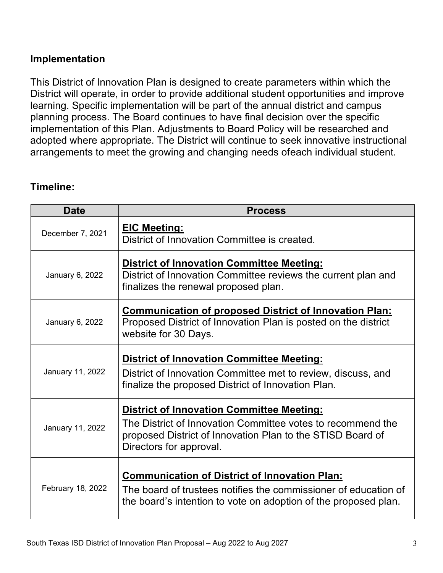#### **Implementation**

This District of Innovation Plan is designed to create parameters within which the District will operate, in order to provide additional student opportunities and improve learning. Specific implementation will be part of the annual district and campus planning process. The Board continues to have final decision over the specific implementation of this Plan. Adjustments to Board Policy will be researched and adopted where appropriate. The District will continue to seek innovative instructional arrangements to meet the growing and changing needs ofeach individual student.

#### **Timeline:**

| <b>Date</b>       | <b>Process</b>                                                                                                                                                                                           |
|-------------------|----------------------------------------------------------------------------------------------------------------------------------------------------------------------------------------------------------|
| December 7, 2021  | <b>EIC Meeting:</b><br>District of Innovation Committee is created.                                                                                                                                      |
| January 6, 2022   | <b>District of Innovation Committee Meeting:</b><br>District of Innovation Committee reviews the current plan and<br>finalizes the renewal proposed plan.                                                |
| January 6, 2022   | <b>Communication of proposed District of Innovation Plan:</b><br>Proposed District of Innovation Plan is posted on the district<br>website for 30 Days.                                                  |
| January 11, 2022  | <b>District of Innovation Committee Meeting:</b><br>District of Innovation Committee met to review, discuss, and<br>finalize the proposed District of Innovation Plan.                                   |
| January 11, 2022  | <b>District of Innovation Committee Meeting:</b><br>The District of Innovation Committee votes to recommend the<br>proposed District of Innovation Plan to the STISD Board of<br>Directors for approval. |
| February 18, 2022 | <b>Communication of District of Innovation Plan:</b><br>The board of trustees notifies the commissioner of education of<br>the board's intention to vote on adoption of the proposed plan.               |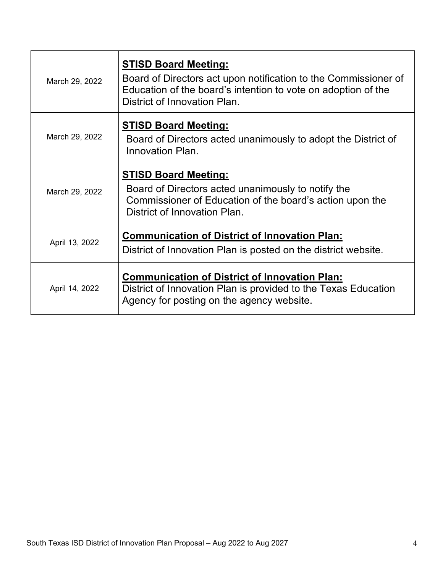| March 29, 2022 | <b>STISD Board Meeting:</b><br>Board of Directors act upon notification to the Commissioner of<br>Education of the board's intention to vote on adoption of the<br>District of Innovation Plan. |
|----------------|-------------------------------------------------------------------------------------------------------------------------------------------------------------------------------------------------|
| March 29, 2022 | <b>STISD Board Meeting:</b><br>Board of Directors acted unanimously to adopt the District of<br>Innovation Plan.                                                                                |
| March 29, 2022 | <b>STISD Board Meeting:</b><br>Board of Directors acted unanimously to notify the<br>Commissioner of Education of the board's action upon the<br>District of Innovation Plan.                   |
| April 13, 2022 | <b>Communication of District of Innovation Plan:</b><br>District of Innovation Plan is posted on the district website.                                                                          |
| April 14, 2022 | <b>Communication of District of Innovation Plan:</b><br>District of Innovation Plan is provided to the Texas Education<br>Agency for posting on the agency website.                             |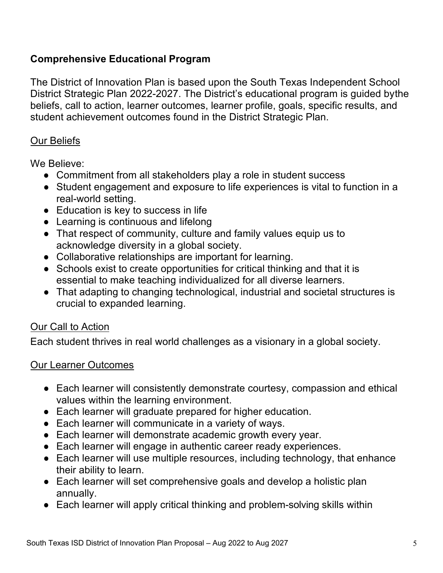#### **Comprehensive Educational Program**

The District of Innovation Plan is based upon the South Texas Independent School District Strategic Plan 2022-2027. The District's educational program is guided bythe beliefs, call to action, learner outcomes, learner profile, goals, specific results, and student achievement outcomes found in the District Strategic Plan.

#### Our Beliefs

We Believe:

- Commitment from all stakeholders play a role in student success
- Student engagement and exposure to life experiences is vital to function in a real-world setting.
- Education is key to success in life
- Learning is continuous and lifelong
- That respect of community, culture and family values equip us to acknowledge diversity in a global society.
- Collaborative relationships are important for learning.
- Schools exist to create opportunities for critical thinking and that it is essential to make teaching individualized for all diverse learners.
- That adapting to changing technological, industrial and societal structures is crucial to expanded learning.

#### Our Call to Action

Each student thrives in real world challenges as a visionary in a global society.

#### Our Learner Outcomes

- Each learner will consistently demonstrate courtesy, compassion and ethical values within the learning environment.
- Each learner will graduate prepared for higher education.
- Each learner will communicate in a variety of ways.
- Each learner will demonstrate academic growth every year.
- Each learner will engage in authentic career ready experiences.
- Each learner will use multiple resources, including technology, that enhance their ability to learn.
- Each learner will set comprehensive goals and develop a holistic plan annually.
- Each learner will apply critical thinking and problem-solving skills within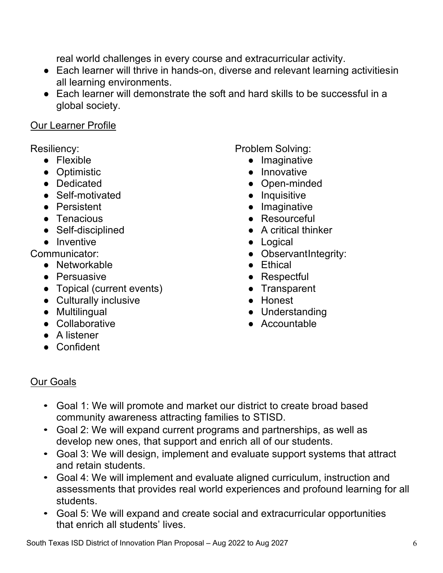real world challenges in every course and extracurricular activity.

- Each learner will thrive in hands-on, diverse and relevant learning activitiesin all learning environments.
- Each learner will demonstrate the soft and hard skills to be successful in a global society.

#### Our Learner Profile

Resiliency:

- Flexible
- Optimistic
- Dedicated
- Self-motivated
- Persistent
- Tenacious
- Self-disciplined
- Inventive

Communicator:

- Networkable
- Persuasive
- Topical (current events)
- Culturally inclusive
- Multilingual
- Collaborative
- A listener
- Confident

Problem Solving:

- Imaginative
- Innovative
- Open-minded
- Inquisitive
- Imaginative
- Resourceful
- A critical thinker
- Logical
- ObservantIntegrity:
- Ethical
- Respectful
- Transparent
- Honest
- Understanding
- Accountable

#### Our Goals

- Goal 1: We will promote and market our district to create broad based community awareness attracting families to STISD.
- Goal 2: We will expand current programs and partnerships, as well as develop new ones, that support and enrich all of our students.
- Goal 3: We will design, implement and evaluate support systems that attract and retain students.
- Goal 4: We will implement and evaluate aligned curriculum, instruction and assessments that provides real world experiences and profound learning for all students.
- Goal 5: We will expand and create social and extracurricular opportunities that enrich all students' lives.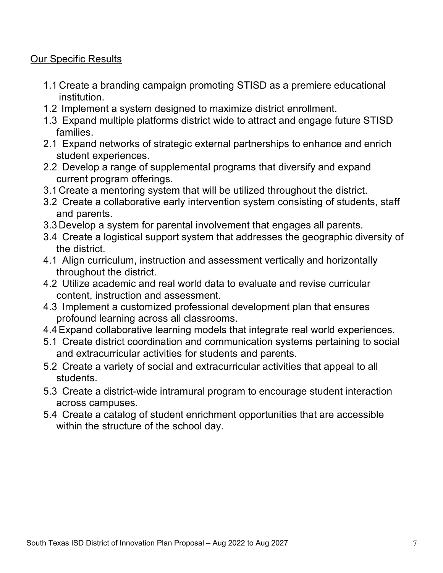#### Our Specific Results

- 1.1 Create a branding campaign promoting STISD as a premiere educational institution.
- 1.2 Implement a system designed to maximize district enrollment.
- 1.3 Expand multiple platforms district wide to attract and engage future STISD families.
- 2.1 Expand networks of strategic external partnerships to enhance and enrich student experiences.
- 2.2 Develop a range of supplemental programs that diversify and expand current program offerings.
- 3.1 Create a mentoring system that will be utilized throughout the district.
- 3.2 Create a collaborative early intervention system consisting of students, staff and parents.
- 3.3 Develop a system for parental involvement that engages all parents.
- 3.4 Create a logistical support system that addresses the geographic diversity of the district.
- 4.1 Align curriculum, instruction and assessment vertically and horizontally throughout the district.
- 4.2 Utilize academic and real world data to evaluate and revise curricular content, instruction and assessment.
- 4.3 Implement a customized professional development plan that ensures profound learning across all classrooms.
- 4.4Expand collaborative learning models that integrate real world experiences.
- 5.1 Create district coordination and communication systems pertaining to social and extracurricular activities for students and parents.
- 5.2 Create a variety of social and extracurricular activities that appeal to all students.
- 5.3 Create a district-wide intramural program to encourage student interaction across campuses.
- 5.4 Create a catalog of student enrichment opportunities that are accessible within the structure of the school day.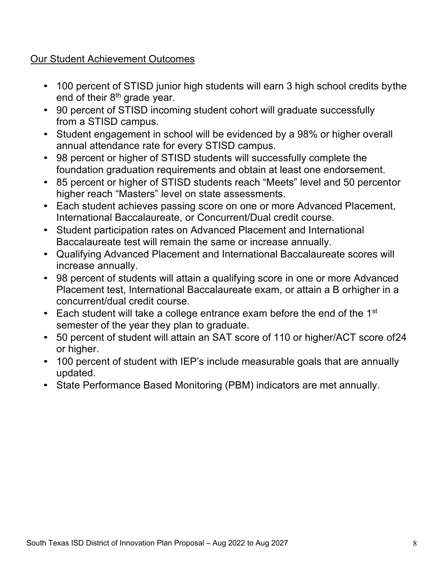#### Our Student Achievement Outcomes

- 100 percent of STISD junior high students will earn 3 high school credits bythe end of their 8<sup>th</sup> grade year.
- 90 percent of STISD incoming student cohort will graduate successfully from a STISD campus.
- Student engagement in school will be evidenced by a 98% or higher overall annual attendance rate for every STISD campus.
- 98 percent or higher of STISD students will successfully complete the foundation graduation requirements and obtain at least one endorsement.
- 85 percent or higher of STISD students reach "Meets" level and 50 percentor higher reach "Masters" level on state assessments.
- Each student achieves passing score on one or more Advanced Placement, International Baccalaureate, or Concurrent/Dual credit course.
- Student participation rates on Advanced Placement and International Baccalaureate test will remain the same or increase annually.
- Qualifying Advanced Placement and International Baccalaureate scores will increase annually.
- 98 percent of students will attain a qualifying score in one or more Advanced Placement test, International Baccalaureate exam, or attain a B orhigher in a concurrent/dual credit course.
- Each student will take a college entrance exam before the end of the  $1<sup>st</sup>$ semester of the year they plan to graduate.
- 50 percent of student will attain an SAT score of 110 or higher/ACT score of24 or higher.
- 100 percent of student with IEP's include measurable goals that are annually updated.
- State Performance Based Monitoring (PBM) indicators are met annually.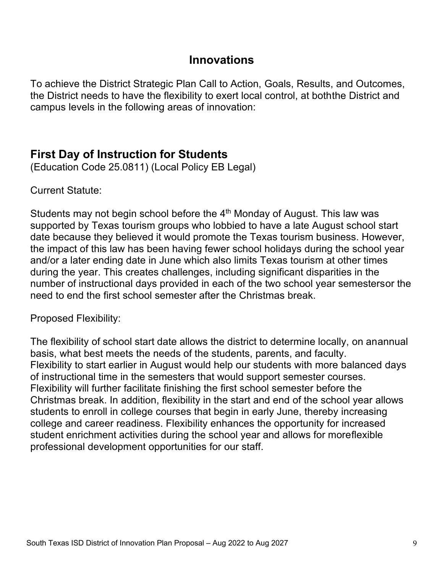#### **Innovations**

To achieve the District Strategic Plan Call to Action, Goals, Results, and Outcomes, the District needs to have the flexibility to exert local control, at boththe District and campus levels in the following areas of innovation:

### **First Day of Instruction for Students**

(Education Code 25.0811) (Local Policy EB Legal)

Current Statute:

Students may not begin school before the  $4<sup>th</sup>$  Monday of August. This law was supported by Texas tourism groups who lobbied to have a late August school start date because they believed it would promote the Texas tourism business. However, the impact of this law has been having fewer school holidays during the school year and/or a later ending date in June which also limits Texas tourism at other times during the year. This creates challenges, including significant disparities in the number of instructional days provided in each of the two school year semestersor the need to end the first school semester after the Christmas break.

Proposed Flexibility:

The flexibility of school start date allows the district to determine locally, on anannual basis, what best meets the needs of the students, parents, and faculty. Flexibility to start earlier in August would help our students with more balanced days of instructional time in the semesters that would support semester courses. Flexibility will further facilitate finishing the first school semester before the Christmas break. In addition, flexibility in the start and end of the school year allows students to enroll in college courses that begin in early June, thereby increasing college and career readiness. Flexibility enhances the opportunity for increased student enrichment activities during the school year and allows for moreflexible professional development opportunities for our staff.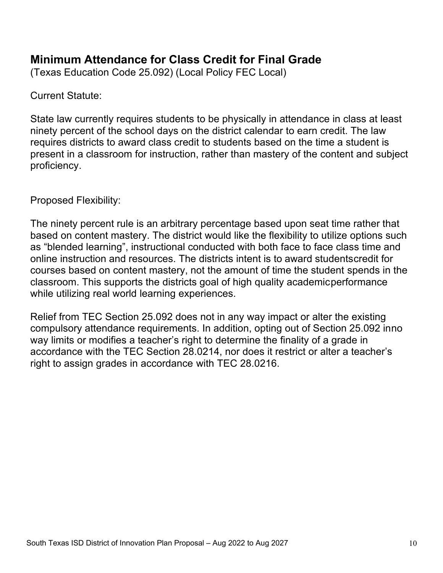# **Minimum Attendance for Class Credit for Final Grade**

(Texas Education Code 25.092) (Local Policy FEC Local)

Current Statute:

State law currently requires students to be physically in attendance in class at least ninety percent of the school days on the district calendar to earn credit. The law requires districts to award class credit to students based on the time a student is present in a classroom for instruction, rather than mastery of the content and subject proficiency.

Proposed Flexibility:

The ninety percent rule is an arbitrary percentage based upon seat time rather that based on content mastery. The district would like the flexibility to utilize options such as "blended learning", instructional conducted with both face to face class time and online instruction and resources. The districts intent is to award studentscredit for courses based on content mastery, not the amount of time the student spends in the classroom. This supports the districts goal of high quality academicperformance while utilizing real world learning experiences.

Relief from TEC Section 25.092 does not in any way impact or alter the existing compulsory attendance requirements. In addition, opting out of Section 25.092 inno way limits or modifies a teacher's right to determine the finality of a grade in accordance with the TEC Section 28.0214, nor does it restrict or alter a teacher's right to assign grades in accordance with TEC 28.0216.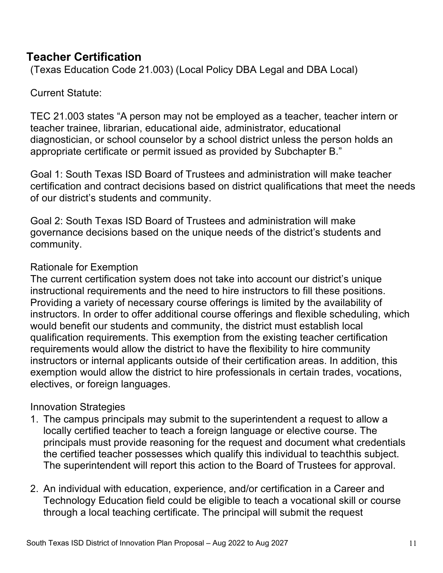## **Teacher Certification**

(Texas Education Code 21.003) (Local Policy DBA Legal and DBA Local)

#### Current Statute:

TEC 21.003 states "A person may not be employed as a teacher, teacher intern or teacher trainee, librarian, educational aide, administrator, educational diagnostician, or school counselor by a school district unless the person holds an appropriate certificate or permit issued as provided by Subchapter B."

Goal 1: South Texas ISD Board of Trustees and administration will make teacher certification and contract decisions based on district qualifications that meet the needs of our district's students and community.

Goal 2: South Texas ISD Board of Trustees and administration will make governance decisions based on the unique needs of the district's students and community.

#### Rationale for Exemption

The current certification system does not take into account our district's unique instructional requirements and the need to hire instructors to fill these positions. Providing a variety of necessary course offerings is limited by the availability of instructors. In order to offer additional course offerings and flexible scheduling, which would benefit our students and community, the district must establish local qualification requirements. This exemption from the existing teacher certification requirements would allow the district to have the flexibility to hire community instructors or internal applicants outside of their certification areas. In addition, this exemption would allow the district to hire professionals in certain trades, vocations, electives, or foreign languages.

#### Innovation Strategies

- 1. The campus principals may submit to the superintendent a request to allow a locally certified teacher to teach a foreign language or elective course. The principals must provide reasoning for the request and document what credentials the certified teacher possesses which qualify this individual to teachthis subject. The superintendent will report this action to the Board of Trustees for approval.
- 2. An individual with education, experience, and/or certification in a Career and Technology Education field could be eligible to teach a vocational skill or course through a local teaching certificate. The principal will submit the request